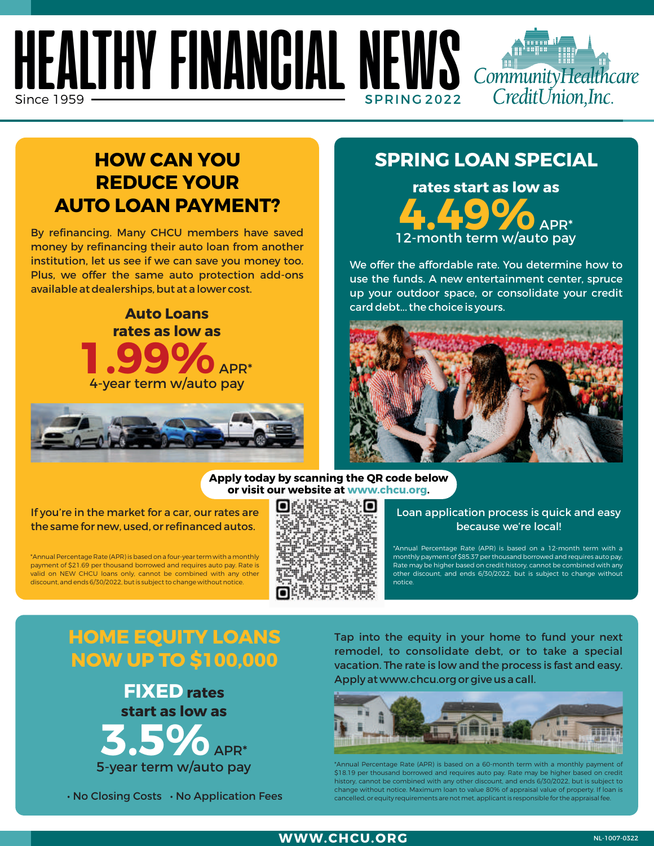## **HEALTHY FINANCIAL NEWS**  $Sinc$ e 1959  $\,$



By refinancing. Many CHCU members have saved money by refinancing their auto loan from another institution, let us see if we can save you money too. Plus, we offer the same auto protection add-ons available at dealerships, but at a lower cost.





### **SPRING LOAN SPECIAL**

CommunityHealthcare CreditUnion, Inc.

**rates start as low as**  12-month term w/auto pay

We offer the affordable rate. You determine how to use the funds. A new entertainment center, spruce up your outdoor space, or consolidate your credit card debt... the choice is yours.



#### **Apply today by scanning the QR code below or visit our website at www.chcu.org.**

#### If you're in the market for a car, our rates are the same for new, used, or refinanced autos.

\*Annual Percentage Rate (APR) is based on a four-year term with a monthly payment of \$21.69 per thousand borrowed and requires auto pay. Rate is valid on NEW CHCU loans only, cannot be combined with any other discount, and ends 6/30/2022, but is subject to change without notice.



Loan application process is quick and easy because we're local!

\*Annual Percentage Rate (APR) is based on a 12-month term with a monthly payment of \$85.37 per thousand borrowed and requires auto pay. Rate may be higher based on credit history, cannot be combined with any other discount, and ends 6/30/2022, but is subject to change without notice.

## **HOME EQUITY LOANS NOW UP TO \$100,000**



• No Closing Costs • No Application Fees

Tap into the equity in your home to fund your next remodel, to consolidate debt, or to take a special vacation. The rate is low and the process is fast and easy. Apply at www.chcu.org or give us a call.



<sup>\*</sup>Annual Percentage Rate (APR) is based on a 60-month term with a monthly payment \$18.19 per thousand borrowed and requires auto pay. Rate may be higher based on credit history, cannot be combined with any other discount, and ends 6/30/2022, but is subject to change without notice. Maximum loan to value 80% of appraisal value of property. If loan is cancelled, or equity requirements are not met, applicant is responsible for the appraisal fee.

#### **WWW.CHCU.ORG**